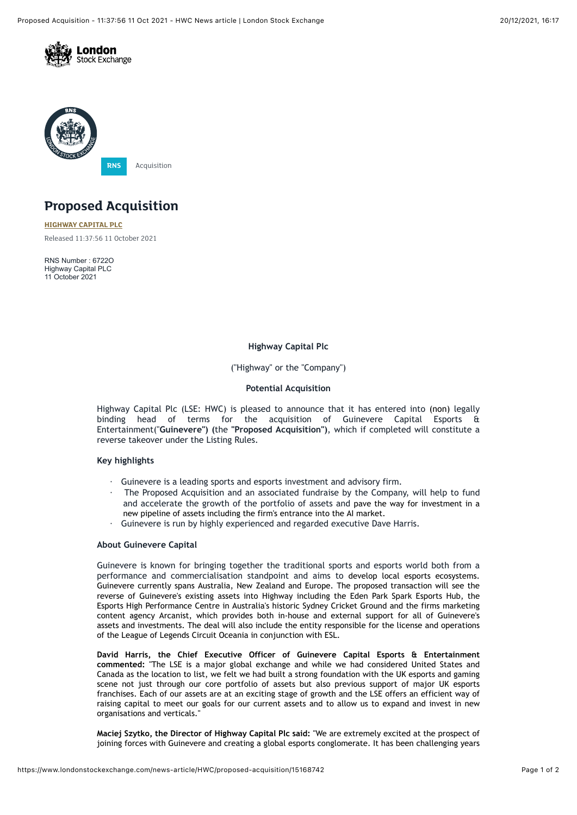



# **Proposed Acquisition**

**[HIGHWAY CAPITAL PLC](https://www.londonstockexchange.com/stock/HWC/highway-capital-plc)** Released 11:37:56 11 October 2021

RNS Number : 6722O Highway Capital PLC 11 October 2021

## **Highway Capital Plc**

("Highway" or the "Company")

#### **Potential Acquisition**

Highway Capital Plc (LSE: HWC) is pleased to announce that it has entered into (non) legally binding head of terms for the acquisition of Guinevere Capital Esports & Entertainment("**Guinevere") (**the **"Proposed Acquisition")**, which if completed will constitute a reverse takeover under the Listing Rules.

#### **Key highlights**

- · Guinevere is a leading sports and esports investment and advisory firm.
- The Proposed Acquisition and an associated fundraise by the Company, will help to fund and accelerate the growth of the portfolio of assets and pave the way for investment in a new pipeline of assets including the firm's entrance into the AI market.
- Guinevere is run by highly experienced and regarded executive Dave Harris.

### **About Guinevere Capital**

Guinevere is known for bringing together the traditional sports and esports world both from a performance and commercialisation standpoint and aims to develop local esports ecosystems. Guinevere currently spans Australia, New Zealand and Europe. The proposed transaction will see the reverse of Guinevere's existing assets into Highway including the Eden Park Spark Esports Hub, the Esports High Performance Centre in Australia's historic Sydney Cricket Ground and the firms marketing content agency Arcanist, which provides both in-house and external support for all of Guinevere's assets and investments. The deal will also include the entity responsible for the license and operations of the League of Legends Circuit Oceania in conjunction with ESL.

**David Harris, the Chief Executive Officer of Guinevere Capital Esports & Entertainment commented:** "The LSE is a major global exchange and while we had considered United States and Canada as the location to list, we felt we had built a strong foundation with the UK esports and gaming scene not just through our core portfolio of assets but also previous support of major UK esports franchises. Each of our assets are at an exciting stage of growth and the LSE offers an efficient way of raising capital to meet our goals for our current assets and to allow us to expand and invest in new organisations and verticals."

**Maciej Szytko, the Director of Highway Capital Plc said:** "We are extremely excited at the prospect of joining forces with Guinevere and creating a global esports conglomerate. It has been challenging years